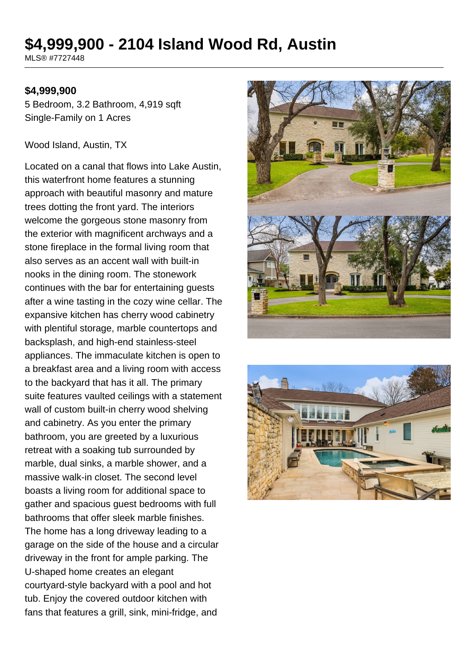# **\$4,999,900 - 2104 Island Wood Rd, Austin**

MLS® #7727448

### **\$4,999,900**

5 Bedroom, 3.2 Bathroom, 4,919 sqft Single-Family on 1 Acres

#### Wood Island, Austin, TX

Located on a canal that flows into Lake Austin, this waterfront home features a stunning approach with beautiful masonry and mature trees dotting the front yard. The interiors welcome the gorgeous stone masonry from the exterior with magnificent archways and a stone fireplace in the formal living room that also serves as an accent wall with built-in nooks in the dining room. The stonework continues with the bar for entertaining guests after a wine tasting in the cozy wine cellar. The expansive kitchen has cherry wood cabinetry with plentiful storage, marble countertops and backsplash, and high-end stainless-steel appliances. The immaculate kitchen is open to a breakfast area and a living room with access to the backyard that has it all. The primary suite features vaulted ceilings with a statement wall of custom built-in cherry wood shelving and cabinetry. As you enter the primary bathroom, you are greeted by a luxurious retreat with a soaking tub surrounded by marble, dual sinks, a marble shower, and a massive walk-in closet. The second level boasts a living room for additional space to gather and spacious guest bedrooms with full bathrooms that offer sleek marble finishes. The home has a long driveway leading to a garage on the side of the house and a circular driveway in the front for ample parking. The U-shaped home creates an elegant courtyard-style backyard with a pool and hot tub. Enjoy the covered outdoor kitchen with fans that features a grill, sink, mini-fridge, and



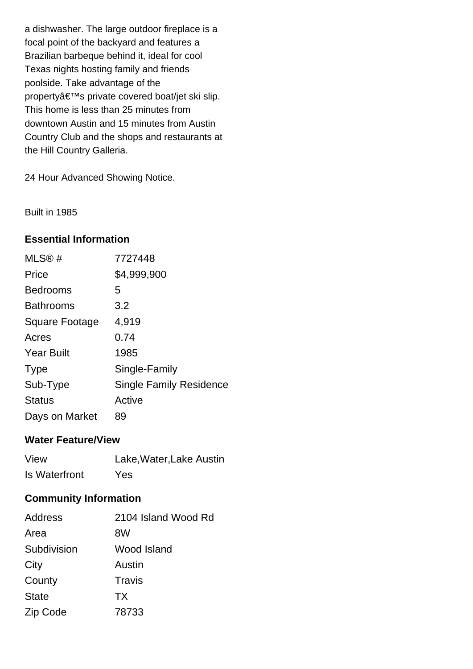a dishwasher. The large outdoor fireplace is a focal point of the backyard and features a Brazilian barbeque behind it, ideal for cool Texas nights hosting family and friends poolside. Take advantage of the property's private covered boat/jet ski slip. This home is less than 25 minutes from downtown Austin and 15 minutes from Austin Country Club and the shops and restaurants at the Hill Country Galleria.

24 Hour Advanced Showing Notice.

Built in 1985

# **Essential Information**

| MLS@#             | 7727448                        |
|-------------------|--------------------------------|
| Price             | \$4,999,900                    |
| <b>Bedrooms</b>   | 5                              |
| <b>Bathrooms</b>  | 3.2                            |
| Square Footage    | 4,919                          |
| Acres             | 0.74                           |
| <b>Year Built</b> | 1985                           |
| <b>Type</b>       | Single-Family                  |
| Sub-Type          | <b>Single Family Residence</b> |
| <b>Status</b>     | Active                         |
| Days on Market    | 89                             |

## **Water Feature/View**

| View          | Lake, Water, Lake Austin |
|---------------|--------------------------|
| Is Waterfront | Yes                      |

# **Community Information**

| <b>Address</b> | 2104 Island Wood Rd |
|----------------|---------------------|
| Area           | 8W                  |
| Subdivision    | Wood Island         |
| City           | Austin              |
| County         | Travis              |
| <b>State</b>   | <b>TX</b>           |
| Zip Code       | 78733               |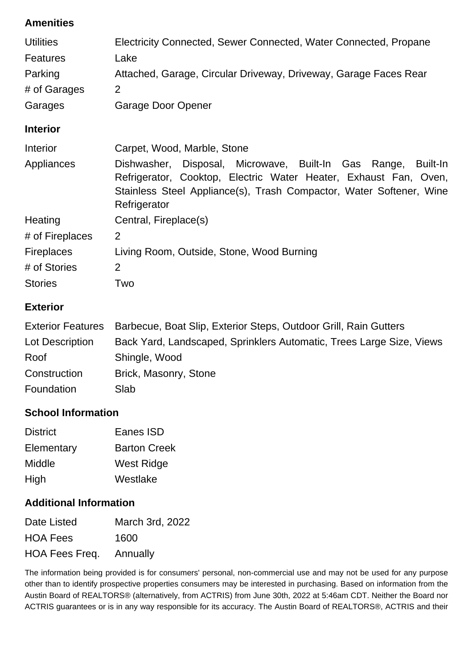# **Amenities**

| <b>Utilities</b>  | Electricity Connected, Sewer Connected, Water Connected, Propane                                                                                                                                                            |  |
|-------------------|-----------------------------------------------------------------------------------------------------------------------------------------------------------------------------------------------------------------------------|--|
| <b>Features</b>   | Lake                                                                                                                                                                                                                        |  |
| Parking           | Attached, Garage, Circular Driveway, Driveway, Garage Faces Rear                                                                                                                                                            |  |
| # of Garages      | $\overline{2}$                                                                                                                                                                                                              |  |
| Garages           | Garage Door Opener                                                                                                                                                                                                          |  |
| <b>Interior</b>   |                                                                                                                                                                                                                             |  |
| <b>Interior</b>   | Carpet, Wood, Marble, Stone                                                                                                                                                                                                 |  |
| Appliances        | Dishwasher, Disposal, Microwave, Built-In Gas Range,<br>Built-In<br>Refrigerator, Cooktop, Electric Water Heater, Exhaust Fan, Oven,<br>Stainless Steel Appliance(s), Trash Compactor, Water Softener, Wine<br>Refrigerator |  |
| Heating           | Central, Fireplace(s)                                                                                                                                                                                                       |  |
| # of Fireplaces   | 2                                                                                                                                                                                                                           |  |
| <b>Fireplaces</b> | Living Room, Outside, Stone, Wood Burning                                                                                                                                                                                   |  |
| # of Stories      | $\overline{2}$                                                                                                                                                                                                              |  |
| <b>Stories</b>    | Two                                                                                                                                                                                                                         |  |

# **Exterior**

|                 | Exterior Features Barbecue, Boat Slip, Exterior Steps, Outdoor Grill, Rain Gutters |
|-----------------|------------------------------------------------------------------------------------|
| Lot Description | Back Yard, Landscaped, Sprinklers Automatic, Trees Large Size, Views               |
| Roof            | Shingle, Wood                                                                      |
| Construction    | Brick, Masonry, Stone                                                              |
| Foundation      | Slab                                                                               |

# **School Information**

| <b>District</b> | Eanes ISD           |
|-----------------|---------------------|
| Elementary      | <b>Barton Creek</b> |
| Middle          | <b>West Ridge</b>   |
| High            | Westlake            |

# **Additional Information**

| Date Listed                    | March 3rd, 2022 |
|--------------------------------|-----------------|
| <b>HOA Fees</b>                | 1600            |
| <b>HOA Fees Freq.</b> Annually |                 |

The information being provided is for consumers' personal, non-commercial use and may not be used for any purpose other than to identify prospective properties consumers may be interested in purchasing. Based on information from the Austin Board of REALTORS® (alternatively, from ACTRIS) from June 30th, 2022 at 5:46am CDT. Neither the Board nor ACTRIS guarantees or is in any way responsible for its accuracy. The Austin Board of REALTORS®, ACTRIS and their